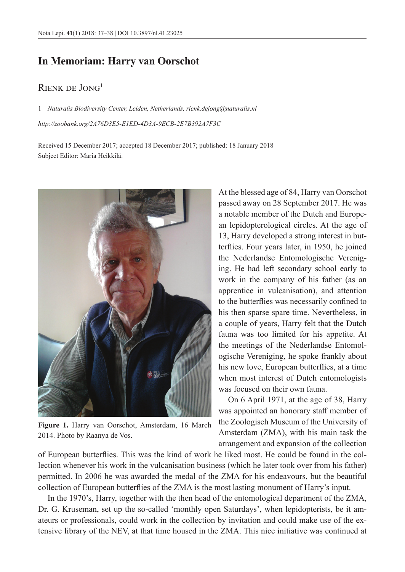## **In Memoriam: Harry van Oorschot**

## Rienk de Jong<sup>1</sup>

1 *Naturalis Biodiversity Center, Leiden, Netherlands, [rienk.dejong@naturalis.nl](mailto:rienk.dejong@naturalis.nl) <http://zoobank.org/2A76D3E5-E1ED-4D3A-9ECB-2E7B392A7F3C>*

Received 15 December 2017; accepted 18 December 2017; published: 18 January 2018 Subject Editor: Maria Heikkilä.



**Figure 1.** Harry van Oorschot, Amsterdam, 16 March 2014. Photo by Raanya de Vos.

At the blessed age of 84, Harry van Oorschot passed away on 28 September 2017. He was a notable member of the Dutch and European lepidopterological circles. At the age of 13, Harry developed a strong interest in butterflies. Four years later, in 1950, he joined the Nederlandse Entomologische Vereniging. He had left secondary school early to work in the company of his father (as an apprentice in vulcanisation), and attention to the butterflies was necessarily confined to his then sparse spare time. Nevertheless, in a couple of years, Harry felt that the Dutch fauna was too limited for his appetite. At the meetings of the Nederlandse Entomologische Vereniging, he spoke frankly about his new love, European butterflies, at a time when most interest of Dutch entomologists was focused on their own fauna.

On 6 April 1971, at the age of 38, Harry was appointed an honorary staff member of the Zoologisch Museum of the University of Amsterdam (ZMA), with his main task the arrangement and expansion of the collection

of European butterflies. This was the kind of work he liked most. He could be found in the collection whenever his work in the vulcanisation business (which he later took over from his father) permitted. In 2006 he was awarded the medal of the ZMA for his endeavours, but the beautiful collection of European butterflies of the ZMA is the most lasting monument of Harry's input.

In the 1970's, Harry, together with the then head of the entomological department of the ZMA, Dr. G. Kruseman, set up the so-called 'monthly open Saturdays', when lepidopterists, be it amateurs or professionals, could work in the collection by invitation and could make use of the extensive library of the NEV, at that time housed in the ZMA. This nice initiative was continued at